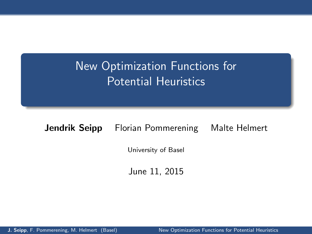## New Optimization Functions for Potential Heuristics

#### **Jendrik Seipp** Florian Pommerening Malte Helmert

University of Basel

<span id="page-0-0"></span>June 11, 2015

J. Seipp, F. Pommerening, M. Helmert (Basel) [New Optimization Functions for Potential Heuristics](#page-0-0)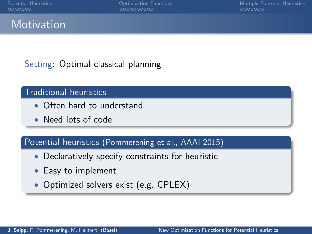## **Motivation**

#### Setting: Optimal classical planning

#### Traditional heuristics

- Often hard to understand
- Need lots of code

#### Potential heuristics (Pommerening et al., AAAI 2015)

- Declaratively specify constraints for heuristic
- Easy to implement
- Optimized solvers exist (e.g. CPLEX)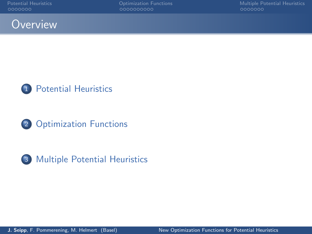







3 [Multiple Potential Heuristics](#page-29-0)

J. Seipp, F. Pommerening, M. Helmert (Basel) [New Optimization Functions for Potential Heuristics](#page-0-0)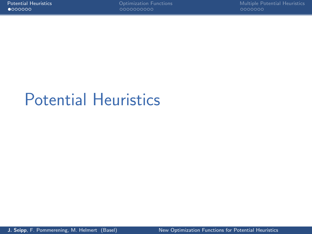# <span id="page-3-0"></span>[Potential Heuristics](#page-3-0)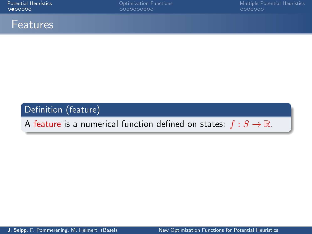

#### Definition (feature)

A feature is a numerical function defined on states:  $f : S \to \mathbb{R}$ .

J. Seipp, F. Pommerening, M. Helmert (Basel) [New Optimization Functions for Potential Heuristics](#page-0-0)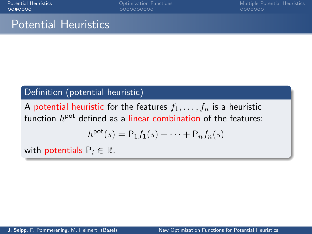## Potential Heuristics

#### Definition (potential heuristic)

A potential heuristic for the features  $f_1, \ldots, f_n$  is a heuristic function  $h^{\text{pot}}$  defined as a linear combination of the features:

$$
h^{\text{pot}}(s) = \mathsf{P}_1 f_1(s) + \dots + \mathsf{P}_n f_n(s)
$$

with potentials  $P_i \in \mathbb{R}$ .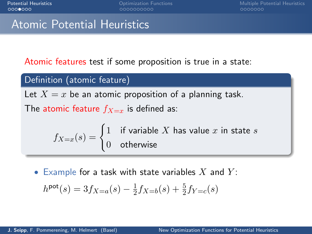0000000000

[Potential Heuristics](#page-3-0) [Optimization Functions](#page-16-0) [Multiple Potential Heuristics](#page-29-0)

## Atomic Potential Heuristics

Atomic features test if some proposition is true in a state:

#### Definition (atomic feature)

Let  $X = x$  be an atomic proposition of a planning task.

The atomic feature  $f_{X=x}$  is defined as:

$$
f_{X=x}(s) = \begin{cases} 1 & \text{if variable } X \text{ has value } x \text{ in state } s \\ 0 & \text{otherwise} \end{cases}
$$

• Example for a task with state variables X and  $Y$ :

$$
h^{\text{pot}}(s) = 3f_{X=a}(s) - \frac{1}{2}f_{X=b}(s) + \frac{5}{2}f_{Y=c}(s)
$$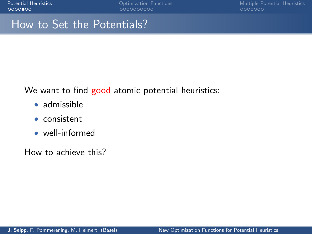## How to Set the Potentials?

We want to find good atomic potential heuristics:

- admissible
- consistent
- well-informed

How to achieve this?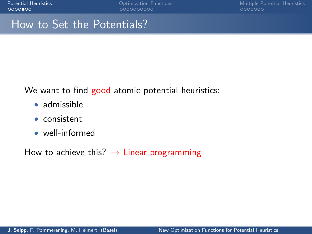## How to Set the Potentials?

We want to find good atomic potential heuristics:

- admissible
- consistent
- well-informed

How to achieve this?  $\rightarrow$  Linear programming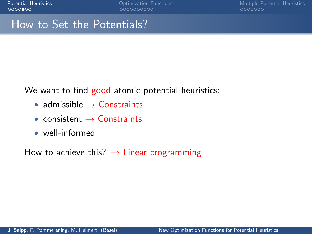## How to Set the Potentials?

We want to find good atomic potential heuristics:

- admissible  $\rightarrow$  Constraints
- consistent  $\rightarrow$  Constraints
- well-informed

How to achieve this?  $\rightarrow$  Linear programming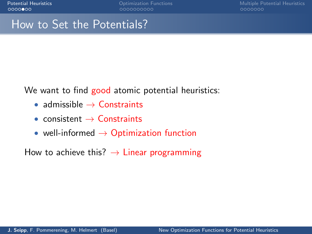## How to Set the Potentials?

We want to find good atomic potential heuristics:

- admissible  $\rightarrow$  Constraints
- consistent  $\rightarrow$  Constraints
- well-informed  $\rightarrow$  Optimization function

How to achieve this?  $\rightarrow$  Linear programming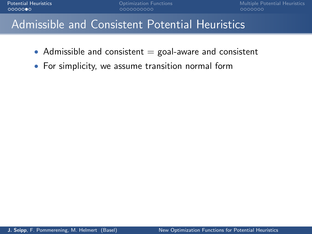## Admissible and Consistent Potential Heuristics

- Admissible and consistent  $=$  goal-aware and consistent
- For simplicity, we assume transition normal form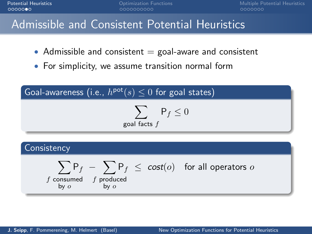**[Potential Heuristics](#page-3-0) Community Community** [Optimization Functions](#page-16-0) **Community Community Community** [Multiple Potential Heuristics](#page-29-0)<br>
Multiple Potential Heuristics<br>
Multiple Potential Agents of Community Community Community C

## Admissible and Consistent Potential Heuristics

- Admissible and consistent  $=$  goal-aware and consistent
- For simplicity, we assume transition normal form

$$
\fbox{Goal-awareness (i.e., } h^{\text{pot}}(s) \leq 0 \text{ for goal states)}
$$
\n
$$
\sum_{\text{goal facts } f} P_f \leq 0
$$

#### **Consistency**

$$
\sum_{\substack{f \text{ consumed} \\ \text{by } o}} \mathsf{P}_f - \sum_{\substack{f \text{ produced} \\ \text{by } o}} \mathsf{P}_f \leq \text{ cost}(o) \quad \text{for all operators } o
$$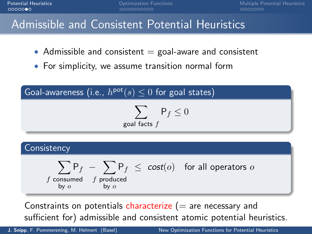**[Potential Heuristics](#page-3-0) Community Community** [Optimization Functions](#page-16-0) **Community Community Community** [Multiple Potential Heuristics](#page-29-0)<br>
Multiple Potential Heuristics<br>
Multiple Potential Agents of Community Community Community C  $0000000$ 

## Admissible and Consistent Potential Heuristics

- Admissible and consistent  $=$  goal-aware and consistent
- For simplicity, we assume transition normal form

$$
\fbox{Goal-awareness (i.e., } h^{\text{pot}}(s) \leq 0 \text{ for goal states)}
$$
\n
$$
\sum_{\text{goal facts } f} P_f \leq 0
$$

#### **Consistency**

$$
\sum_{\substack{f \text{ consumed} \\ \text{by } o}} \mathsf{P}_f - \sum_{\substack{f \text{ produced} \\ \text{by } o}} \mathsf{P}_f \leq \text{ cost}(o) \quad \text{for all operators } o
$$

Constraints on potentials characterize  $(=$  are necessary and sufficient for) admissible and consistent atomic potential heuristics.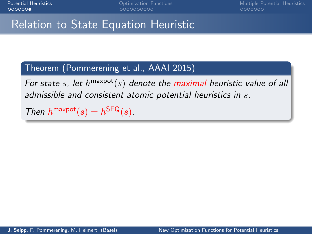## Relation to State Equation Heuristic

#### Theorem (Pommerening et al., AAAI 2015)

For state s, let  $h^{\text{maxpot}}(s)$  denote the maximal heuristic value of all admissible and consistent atomic potential heuristics in s.

Then  $h^{\text{maxpot}}(s) = h^{\text{SEQ}}(s)$ .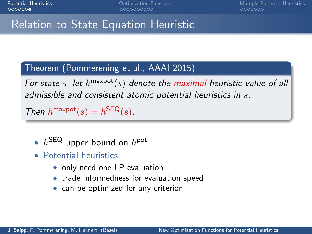## Relation to State Equation Heuristic

#### Theorem (Pommerening et al., AAAI 2015)

For state s, let  $h^{\text{maxpot}}(s)$  denote the maximal heuristic value of all admissible and consistent atomic potential heuristics in s.

Then  $h^{\text{maxpot}}(s) = h^{\text{SEQ}}(s)$ .

- $h^{\text{SEQ}}$  upper bound on  $h^{\text{pot}}$
- Potential heuristics:
	- only need one LP evaluation
	- trade informedness for evaluation speed
	- can be optimized for any criterion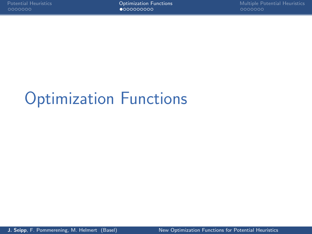# <span id="page-16-0"></span>[Optimization Functions](#page-16-0)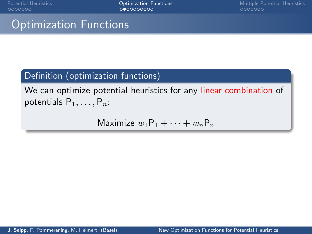[Potential Heuristics](#page-3-0) **[Optimization Functions](#page-16-0)** Componential Heuristics [Multiple Potential Heuristics](#page-29-0)<br> **Potential Heuristics** O**ptimization Functions** Componential Meuristics Componential Heuristics

## Optimization Functions

#### Definition (optimization functions)

We can optimize potential heuristics for any linear combination of potentials  $P_1, \ldots, P_n$ :

Maximize  $w_1P_1 + \cdots + w_nP_n$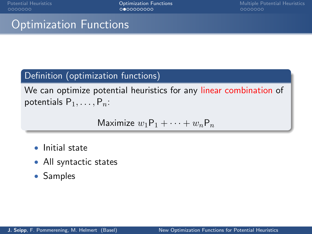## Optimization Functions

#### Definition (optimization functions)

We can optimize potential heuristics for any linear combination of potentials  $P_1, \ldots, P_n$ :

$$
\text{Maximize } w_1 \mathsf{P}_1 + \cdots + w_n \mathsf{P}_n
$$

- Initial state
- All syntactic states
- Samples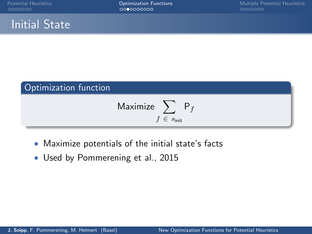## Initial State



- Maximize potentials of the initial state's facts
- Used by Pommerening et al., 2015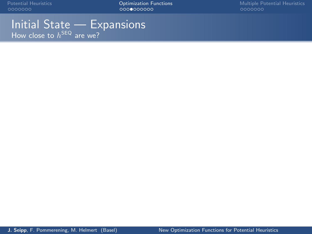Initial State — Expansions How close to  $h^{\mathsf{SEQ}}$  are we?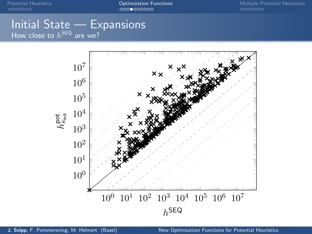#### Initial State — Expansions How close to  $h^{\mathsf{SEQ}}$  are we?

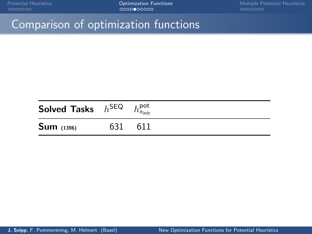## Comparison of optimization functions

| Solved Tasks $h^{\text{SEQ}}$ |     | $h_{s_{\mathsf{init}}}^{\mathsf{pot}}$ |  |
|-------------------------------|-----|----------------------------------------|--|
| $Sum_{(1396)}$                | 631 | 611                                    |  |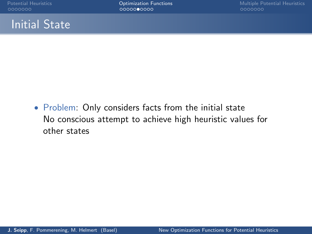## Initial State

• Problem: Only considers facts from the initial state No conscious attempt to achieve high heuristic values for other states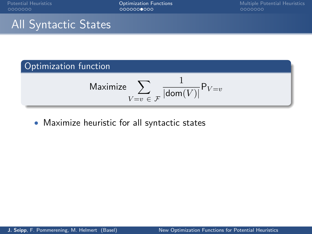## All Syntactic States

## Optimization function

$$
\text{Maximize} \sum_{V=v\ \in \ \mathcal{F}} \frac{1}{|\text{dom}(V)|} \mathsf{P}_{V=v}
$$

• Maximize heuristic for all syntactic states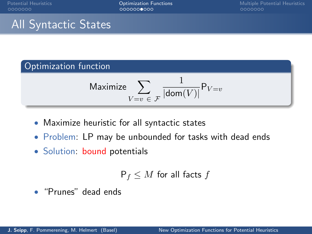## All Syntactic States

#### Optimization function

$$
\text{Maximize } \sum_{V=v \in \mathcal{F}} \frac{1}{|\text{dom}(V)|} \mathsf{P}_{V=v}
$$

- Maximize heuristic for all syntactic states
- Problem: LP may be unbounded for tasks with dead ends
- Solution: bound potentials

$$
\mathsf{P}_f \leq M \text{ for all facts } f
$$

• "Prunes" dead ends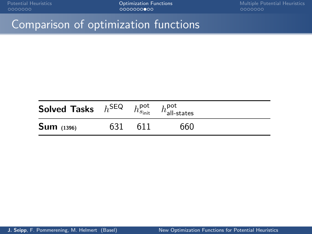## Comparison of optimization functions

| Solved Tasks $h^{\text{SEQ}}$ |     | $h_{s_{\text{init}}}^{\text{pot}}$ . | $h_{\mathsf{all-states}}^{\mathsf{pot}}$ |  |
|-------------------------------|-----|--------------------------------------|------------------------------------------|--|
| $Sum_{(1396)}$                | 631 | 611                                  | 660                                      |  |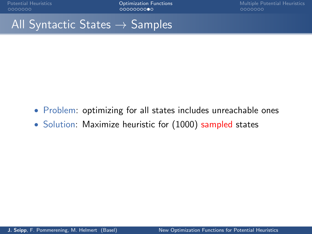## All Syntactic States  $\rightarrow$  Samples

- Problem: optimizing for all states includes unreachable ones
- Solution: Maximize heuristic for (1000) sampled states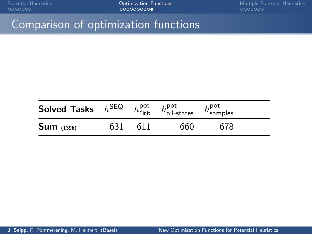## Comparison of optimization functions

| Solved Tasks $h^{\text{SEQ}}$ |     | $h_{s_{\mathsf{init}}}^{\mathsf{pot}}$ | $h_{\mathsf{all-states}}^{\mathsf{pot}}$ | $h_{\text{samples}}^{\text{pot}}$ |  |
|-------------------------------|-----|----------------------------------------|------------------------------------------|-----------------------------------|--|
| $Sum_{(1396)}$                | 631 | 611                                    | 660                                      | 678                               |  |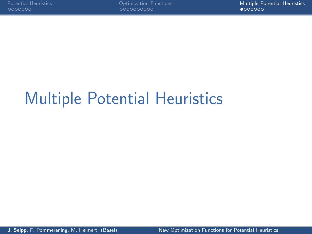# <span id="page-29-0"></span>[Multiple Potential Heuristics](#page-29-0)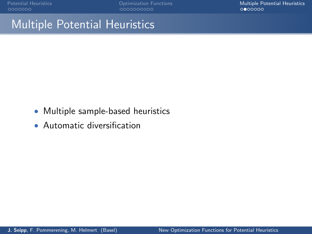[Potential Heuristics](#page-3-0) **Potential Heuristics** [Optimization Functions](#page-16-0) **[Multiple Potential Heuristics](#page-29-0)**<br> **Procession** Optimization Cooperations Complete Complete Complete Complete Complete Complete Complete Complete<br> **Processio** 

## Multiple Potential Heuristics

- Multiple sample-based heuristics
- Automatic diversification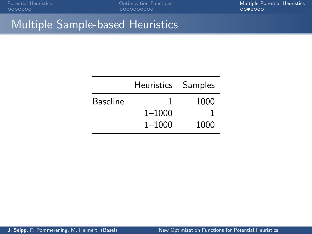[Potential Heuristics](#page-3-0) **Potential Heuristics** [Optimization Functions](#page-16-0) **[Multiple Potential Heuristics](#page-29-0)**<br> **Potential Heuristics** Optimization Cooperations and Complete Complete Cooperations of Complete Complete Complet

## Multiple Sample-based Heuristics

|                 | Heuristics Samples |      |
|-----------------|--------------------|------|
| <b>Baseline</b> |                    | 1000 |
|                 | $1 - 1000$         |      |
|                 | $1 - 1000$         | 1000 |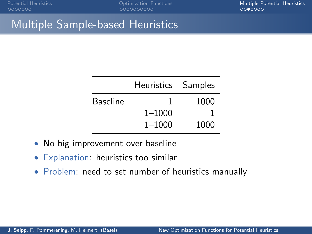## Multiple Sample-based Heuristics

| ı          | 1000               |
|------------|--------------------|
| $1 - 1000$ |                    |
| $1 - 1000$ | 1000               |
|            | Heuristics Samples |

- No big improvement over baseline
- Explanation: heuristics too similar
- Problem: need to set number of heuristics manually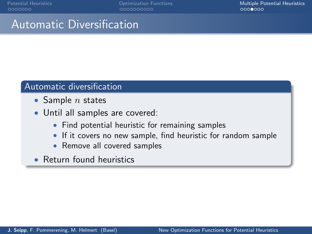000000000C

[Potential Heuristics](#page-3-0) [Optimization Functions](#page-16-0) [Multiple Potential Heuristics](#page-29-0)

## Automatic Diversification

#### Automatic diversification

- Sample  $n$  states
- Until all samples are covered:
	- Find potential heuristic for remaining samples
	- If it covers no new sample, find heuristic for random sample
	- Remove all covered samples
- Return found heuristics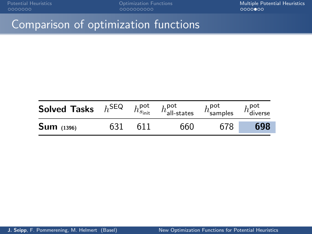[Potential Heuristics](#page-3-0) **Potential Heuristics** [Optimization Functions](#page-16-0) **[Multiple Potential Heuristics](#page-29-0)**<br>  $0000000$ 

## Comparison of optimization functions

| Solved Tasks $h^{\text{SEQ}}$ |     | $h_{s_{\mathsf{init}}}^{\mathsf{pot}}$ | $h_{\text{all-states}}^{\text{pot}}$ | $h_{\text{samples}}^{\text{pot}}$ | $h_{\sf diverse}^{\sf pot}$ |
|-------------------------------|-----|----------------------------------------|--------------------------------------|-----------------------------------|-----------------------------|
| $Sum_{(1396)}$                | 631 | 611                                    | 660                                  | 678                               | 698                         |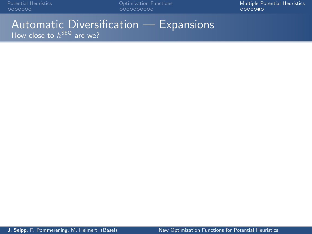[Potential Heuristics](#page-3-0) **Potential Heuristics** [Optimization Functions](#page-16-0) **[Multiple Potential Heuristics](#page-29-0)**<br>  $0000000$ 

#### Automatic Diversification — Expansions How close to  $h^{\mathsf{SEQ}}$  are we?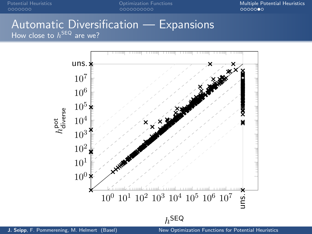[Potential Heuristics](#page-3-0) **Potential Heuristics** [Optimization Functions](#page-16-0) **[Multiple Potential Heuristics](#page-29-0)**<br>  $0000000$ 

#### Automatic Diversification — Expansions How close to  $h^{\mathsf{SEQ}}$  are we?

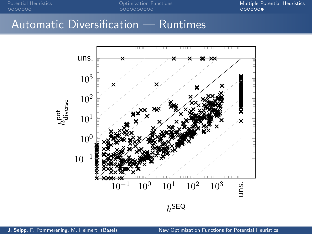## Automatic Diversification — Runtimes

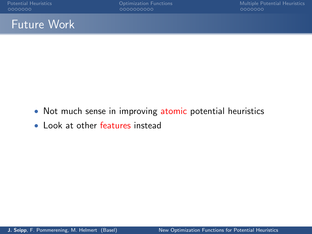## Future Work

- Not much sense in improving atomic potential heuristics
- Look at other features instead